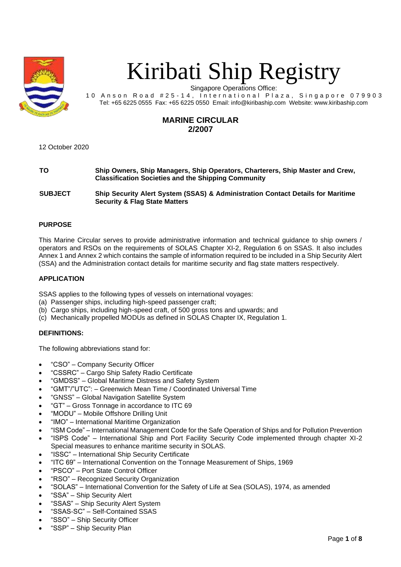

# Kiribati Ship Registry

Singapore Operations Office:

10 Anson Road #25-14, International Plaza, Singapore 079903 Tel: +65 6225 0555 Fax: +65 6225 0550 Email: info@kiribaship.com Website: www.kiribaship.com

## **MARINE CIRCULAR 2/2007**

12 October 2020

**TO Ship Owners, Ship Managers, Ship Operators, Charterers, Ship Master and Crew, Classification Societies and the Shipping Community**

**SUBJECT Ship Security Alert System (SSAS) & Administration Contact Details for Maritime Security & Flag State Matters**

## **PURPOSE**

This Marine Circular serves to provide administrative information and technical guidance to ship owners / operators and RSOs on the requirements of SOLAS Chapter XI-2, Regulation 6 on SSAS. It also includes Annex 1 and Annex 2 which contains the sample of information required to be included in a Ship Security Alert (SSA) and the Administration contact details for maritime security and flag state matters respectively.

## **APPLICATION**

SSAS applies to the following types of vessels on international voyages:

- (a) Passenger ships, including high-speed passenger craft;
- (b) Cargo ships, including high-speed craft, of 500 gross tons and upwards; and
- (c) Mechanically propelled MODUs as defined in SOLAS Chapter IX, Regulation 1.

## **DEFINITIONS:**

The following abbreviations stand for:

- "CSO" Company Security Officer
- "CSSRC" Cargo Ship Safety Radio Certificate
- "GMDSS" Global Maritime Distress and Safety System
- "GMT"/"UTC": Greenwich Mean Time / Coordinated Universal Time
- "GNSS" Global Navigation Satellite System
- "GT" Gross Tonnage in accordance to ITC 69
- "MODU" Mobile Offshore Drilling Unit
- "IMO" International Maritime Organization
- "ISM Code" International Management Code for the Safe Operation of Ships and for Pollution Prevention
- "ISPS Code" International Ship and Port Facility Security Code implemented through chapter XI-2 Special measures to enhance maritime security in SOLAS.
- "ISSC" International Ship Security Certificate
- "ITC 69" International Convention on the Tonnage Measurement of Ships, 1969
- "PSCO" Port State Control Officer
- "RSO" Recognized Security Organization
- "SOLAS" International Convention for the Safety of Life at Sea (SOLAS), 1974, as amended
- "SSA" Ship Security Alert
- "SSAS" Ship Security Alert System
- "SSAS-SC" Self-Contained SSAS
- "SSO" Ship Security Officer
- "SSP" Ship Security Plan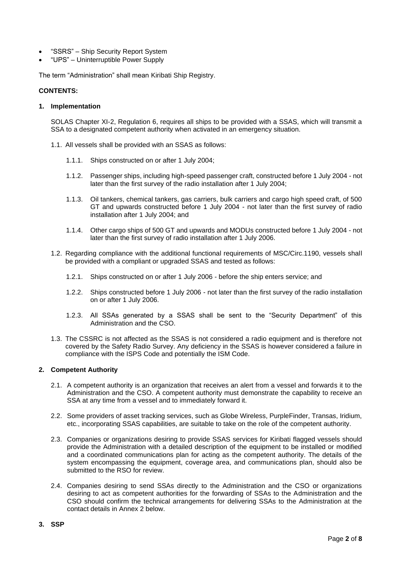- "SSRS" Ship Security Report System
- "UPS" Uninterruptible Power Supply

The term "Administration" shall mean Kiribati Ship Registry.

#### **CONTENTS:**

#### **1. Implementation**

SOLAS Chapter XI-2, Regulation 6, requires all ships to be provided with a SSAS, which will transmit a SSA to a designated competent authority when activated in an emergency situation.

- 1.1. All vessels shall be provided with an SSAS as follows:
	- 1.1.1. Ships constructed on or after 1 July 2004;
	- 1.1.2. Passenger ships, including high-speed passenger craft, constructed before 1 July 2004 not later than the first survey of the radio installation after 1 July 2004;
	- 1.1.3. Oil tankers, chemical tankers, gas carriers, bulk carriers and cargo high speed craft, of 500 GT and upwards constructed before 1 July 2004 - not later than the first survey of radio installation after 1 July 2004; and
	- 1.1.4. Other cargo ships of 500 GT and upwards and MODUs constructed before 1 July 2004 not later than the first survey of radio installation after 1 July 2006.
- 1.2. Regarding compliance with the additional functional requirements of MSC/Circ.1190, vessels shall be provided with a compliant or upgraded SSAS and tested as follows:
	- 1.2.1. Ships constructed on or after 1 July 2006 before the ship enters service; and
	- 1.2.2. Ships constructed before 1 July 2006 not later than the first survey of the radio installation on or after 1 July 2006.
	- 1.2.3. All SSAs generated by a SSAS shall be sent to the "Security Department" of this Administration and the CSO.
- 1.3. The CSSRC is not affected as the SSAS is not considered a radio equipment and is therefore not covered by the Safety Radio Survey. Any deficiency in the SSAS is however considered a failure in compliance with the ISPS Code and potentially the ISM Code.

#### **2. Competent Authority**

- 2.1. A competent authority is an organization that receives an alert from a vessel and forwards it to the Administration and the CSO. A competent authority must demonstrate the capability to receive an SSA at any time from a vessel and to immediately forward it.
- 2.2. Some providers of asset tracking services, such as Globe Wireless, PurpleFinder, Transas, Iridium, etc., incorporating SSAS capabilities, are suitable to take on the role of the competent authority.
- 2.3. Companies or organizations desiring to provide SSAS services for Kiribati flagged vessels should provide the Administration with a detailed description of the equipment to be installed or modified and a coordinated communications plan for acting as the competent authority. The details of the system encompassing the equipment, coverage area, and communications plan, should also be submitted to the RSO for review.
- 2.4. Companies desiring to send SSAs directly to the Administration and the CSO or organizations desiring to act as competent authorities for the forwarding of SSAs to the Administration and the CSO should confirm the technical arrangements for delivering SSAs to the Administration at the contact details in Annex 2 below.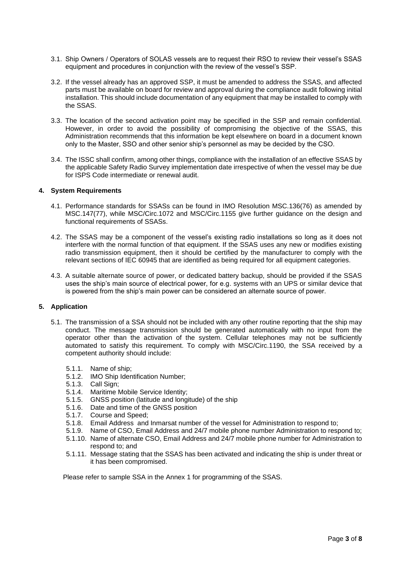- 3.1. Ship Owners / Operators of SOLAS vessels are to request their RSO to review their vessel's SSAS equipment and procedures in conjunction with the review of the vessel's SSP.
- 3.2. If the vessel already has an approved SSP, it must be amended to address the SSAS, and affected parts must be available on board for review and approval during the compliance audit following initial installation. This should include documentation of any equipment that may be installed to comply with the SSAS.
- 3.3. The location of the second activation point may be specified in the SSP and remain confidential. However, in order to avoid the possibility of compromising the objective of the SSAS, this Administration recommends that this information be kept elsewhere on board in a document known only to the Master, SSO and other senior ship's personnel as may be decided by the CSO.
- 3.4. The ISSC shall confirm, among other things, compliance with the installation of an effective SSAS by the applicable Safety Radio Survey implementation date irrespective of when the vessel may be due for ISPS Code intermediate or renewal audit.

#### **4. System Requirements**

- 4.1. Performance standards for SSASs can be found in IMO Resolution MSC.136(76) as amended by MSC.147(77), while MSC/Circ.1072 and MSC/Circ.1155 give further guidance on the design and functional requirements of SSASs.
- 4.2. The SSAS may be a component of the vessel's existing radio installations so long as it does not interfere with the normal function of that equipment. If the SSAS uses any new or modifies existing radio transmission equipment, then it should be certified by the manufacturer to comply with the relevant sections of IEC 60945 that are identified as being required for all equipment categories.
- 4.3. A suitable alternate source of power, or dedicated battery backup, should be provided if the SSAS uses the ship's main source of electrical power, for e.g. systems with an UPS or similar device that is powered from the ship's main power can be considered an alternate source of power.

## **5. Application**

- 5.1. The transmission of a SSA should not be included with any other routine reporting that the ship may conduct. The message transmission should be generated automatically with no input from the operator other than the activation of the system. Cellular telephones may not be sufficiently automated to satisfy this requirement. To comply with MSC/Circ.1190, the SSA received by a competent authority should include:
	- 5.1.1. Name of ship;
	- 5.1.2. IMO Ship Identification Number;
	- 5.1.3. Call Sign;
	- 5.1.4. Maritime Mobile Service Identity;
	- 5.1.5. GNSS position (latitude and longitude) of the ship
	- 5.1.6. Date and time of the GNSS position
	- 5.1.7. Course and Speed;
	- 5.1.8. Email Address and Inmarsat number of the vessel for Administration to respond to;
	- 5.1.9. Name of CSO, Email Address and 24/7 mobile phone number Administration to respond to;
	- 5.1.10. Name of alternate CSO, Email Address and 24/7 mobile phone number for Administration to respond to; and
	- 5.1.11. Message stating that the SSAS has been activated and indicating the ship is under threat or it has been compromised.

Please refer to sample SSA in the Annex 1 for programming of the SSAS.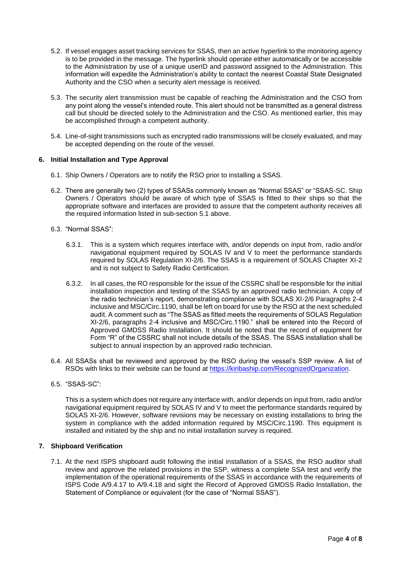- 5.2. If vessel engages asset tracking services for SSAS, then an active hyperlink to the monitoring agency is to be provided in the message. The hyperlink should operate either automatically or be accessible to the Administration by use of a unique userID and password assigned to the Administration. This information will expedite the Administration's ability to contact the nearest Coastal State Designated Authority and the CSO when a security alert message is received.
- 5.3. The security alert transmission must be capable of reaching the Administration and the CSO from any point along the vessel's intended route. This alert should not be transmitted as a general distress call but should be directed solely to the Administration and the CSO. As mentioned earlier, this may be accomplished through a competent authority.
- 5.4. Line-of-sight transmissions such as encrypted radio transmissions will be closely evaluated, and may be accepted depending on the route of the vessel.

## **6. Initial Installation and Type Approval**

- 6.1. Ship Owners / Operators are to notify the RSO prior to installing a SSAS.
- 6.2. There are generally two (2) types of SSASs commonly known as "Normal SSAS" or "SSAS-SC. Ship Owners / Operators should be aware of which type of SSAS is fitted to their ships so that the appropriate software and interfaces are provided to assure that the competent authority receives all the required information listed in sub-section 5.1 above.
- 6.3. "Normal SSAS":
	- 6.3.1. This is a system which requires interface with, and/or depends on input from, radio and/or navigational equipment required by SOLAS IV and V to meet the performance standards required by SOLAS Regulation XI-2/6. The SSAS is a requirement of SOLAS Chapter XI-2 and is not subject to Safety Radio Certification.
	- 6.3.2. In all cases, the RO responsible for the issue of the CSSRC shall be responsible for the initial installation inspection and testing of the SSAS by an approved radio technician. A copy of the radio technician's report, demonstrating compliance with SOLAS XI-2/6 Paragraphs 2-4 inclusive and MSC/Circ.1190, shall be left on board for use by the RSO at the next scheduled audit. A comment such as "The SSAS as fitted meets the requirements of SOLAS Regulation XI-2/6, paragraphs 2-4 inclusive and MSC/Circ.1190." shall be entered into the Record of Approved GMDSS Radio Installation. It should be noted that the record of equipment for Form "R" of the CSSRC shall not include details of the SSAS. The SSAS installation shall be subject to annual inspection by an approved radio technician.
- 6.4. All SSASs shall be reviewed and approved by the RSO during the vessel's SSP review. A list of RSOs with links to their website can be found at [https://kiribaship.com/RecognizedOrganization.](https://kiribaship.com/RecognizedOrganization)
- 6.5. "SSAS-SC":

This is a system which does not require any interface with, and/or depends on input from, radio and/or navigational equipment required by SOLAS IV and V to meet the performance standards required by SOLAS XI-2/6. However, software revisions may be necessary on existing installations to bring the system in compliance with the added information required by MSC/Circ.1190. This equipment is installed and initiated by the ship and no initial installation survey is required.

#### **7. Shipboard Verification**

7.1. At the next ISPS shipboard audit following the initial installation of a SSAS, the RSO auditor shall review and approve the related provisions in the SSP, witness a complete SSA test and verify the implementation of the operational requirements of the SSAS in accordance with the requirements of ISPS Code A/9.4.17 to A/9.4.18 and sight the Record of Approved GMDSS Radio Installation, the Statement of Compliance or equivalent (for the case of "Normal SSAS").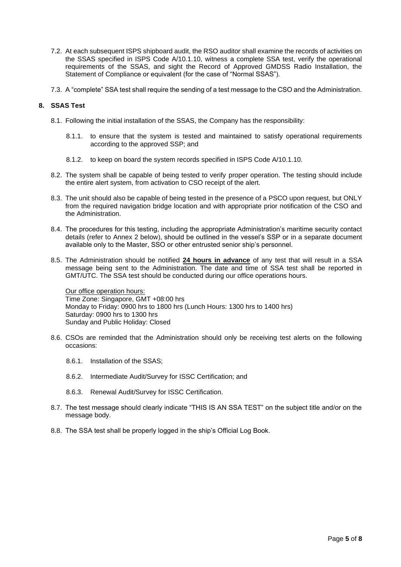- 7.2. At each subsequent ISPS shipboard audit, the RSO auditor shall examine the records of activities on the SSAS specified in ISPS Code A/10.1.10, witness a complete SSA test, verify the operational requirements of the SSAS, and sight the Record of Approved GMDSS Radio Installation, the Statement of Compliance or equivalent (for the case of "Normal SSAS").
- 7.3. A "complete" SSA test shall require the sending of a test message to the CSO and the Administration.

## **8. SSAS Test**

- 8.1. Following the initial installation of the SSAS, the Company has the responsibility:
	- 8.1.1. to ensure that the system is tested and maintained to satisfy operational requirements according to the approved SSP; and
	- 8.1.2. to keep on board the system records specified in ISPS Code A/10.1.10.
- 8.2. The system shall be capable of being tested to verify proper operation. The testing should include the entire alert system, from activation to CSO receipt of the alert.
- 8.3. The unit should also be capable of being tested in the presence of a PSCO upon request, but ONLY from the required navigation bridge location and with appropriate prior notification of the CSO and the Administration.
- 8.4. The procedures for this testing, including the appropriate Administration's maritime security contact details (refer to Annex 2 below), should be outlined in the vessel's SSP or in a separate document available only to the Master, SSO or other entrusted senior ship's personnel.
- 8.5. The Administration should be notified **24 hours in advance** of any test that will result in a SSA message being sent to the Administration. The date and time of SSA test shall be reported in GMT/UTC. The SSA test should be conducted during our office operations hours.

Our office operation hours: Time Zone: Singapore, GMT +08:00 hrs Monday to Friday: 0900 hrs to 1800 hrs (Lunch Hours: 1300 hrs to 1400 hrs) Saturday: 0900 hrs to 1300 hrs Sunday and Public Holiday: Closed

- 8.6. CSOs are reminded that the Administration should only be receiving test alerts on the following occasions:
	- 8.6.1. Installation of the SSAS;
	- 8.6.2. Intermediate Audit/Survey for ISSC Certification; and
	- 8.6.3. Renewal Audit/Survey for ISSC Certification.
- 8.7. The test message should clearly indicate "THIS IS AN SSA TEST" on the subject title and/or on the message body.
- 8.8. The SSA test shall be properly logged in the ship's Official Log Book.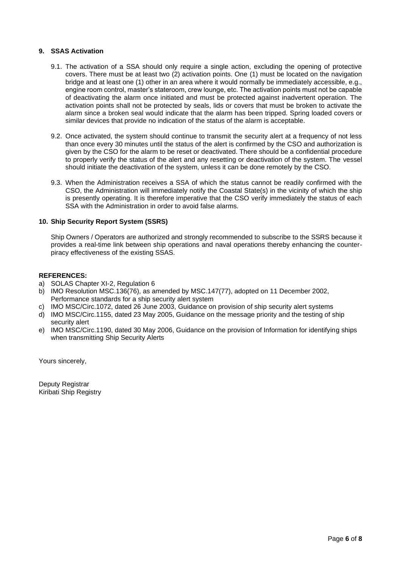## **9. SSAS Activation**

- 9.1. The activation of a SSA should only require a single action, excluding the opening of protective covers. There must be at least two (2) activation points. One (1) must be located on the navigation bridge and at least one (1) other in an area where it would normally be immediately accessible, e.g., engine room control, master's stateroom, crew lounge, etc. The activation points must not be capable of deactivating the alarm once initiated and must be protected against inadvertent operation. The activation points shall not be protected by seals, lids or covers that must be broken to activate the alarm since a broken seal would indicate that the alarm has been tripped. Spring loaded covers or similar devices that provide no indication of the status of the alarm is acceptable.
- 9.2. Once activated, the system should continue to transmit the security alert at a frequency of not less than once every 30 minutes until the status of the alert is confirmed by the CSO and authorization is given by the CSO for the alarm to be reset or deactivated. There should be a confidential procedure to properly verify the status of the alert and any resetting or deactivation of the system. The vessel should initiate the deactivation of the system, unless it can be done remotely by the CSO.
- 9.3. When the Administration receives a SSA of which the status cannot be readily confirmed with the CSO, the Administration will immediately notify the Coastal State(s) in the vicinity of which the ship is presently operating. It is therefore imperative that the CSO verify immediately the status of each SSA with the Administration in order to avoid false alarms.

## **10. Ship Security Report System (SSRS)**

Ship Owners / Operators are authorized and strongly recommended to subscribe to the SSRS because it provides a real-time link between ship operations and naval operations thereby enhancing the counterpiracy effectiveness of the existing SSAS.

#### **REFERENCES:**

- a) SOLAS Chapter XI-2, Regulation 6
- b) IMO Resolution MSC.136(76), as amended by MSC.147(77), adopted on 11 December 2002, Performance standards for a ship security alert system
- c) IMO MSC/Circ.1072, dated 26 June 2003, Guidance on provision of ship security alert systems
- d) IMO MSC/Circ.1155, dated 23 May 2005, Guidance on the message priority and the testing of ship security alert
- e) IMO MSC/Circ.1190, dated 30 May 2006, Guidance on the provision of Information for identifying ships when transmitting Ship Security Alerts

Yours sincerely,

Deputy Registrar Kiribati Ship Registry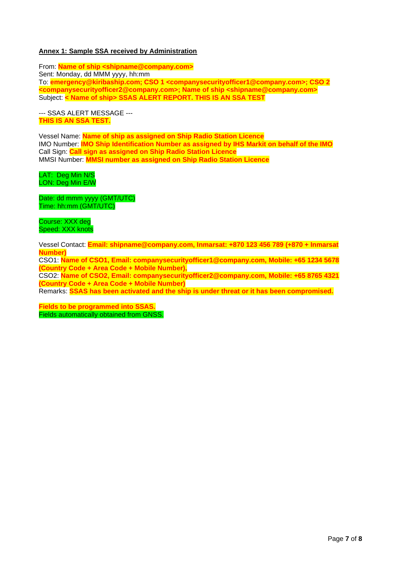#### **Annex 1: Sample SSA received by Administration**

From: **Name of ship <shipname@company.com>** Sent: Monday, dd MMM yyyy, hh:mm To: **emergency@kiribaship.com; CSO 1 <companysecurityofficer1@company.com>; CSO 2 <companysecurityofficer2@company.com>; Name of ship <shipname@company.com>** Subject: **< Name of ship> SSAS ALERT REPORT. THIS IS AN SSA TEST**

--- SSAS ALERT MESSAGE --- **THIS IS AN SSA TEST.**

Vessel Name: **Name of ship as assigned on Ship Radio Station Licence** IMO Number: **IMO Ship Identification Number as assigned by IHS Markit on behalf of the IMO** Call Sign: **Call sign as assigned on Ship Radio Station Licence** MMSI Number: **MMSI number as assigned on Ship Radio Station Licence**

LAT: Deg Min N/S LON: Deg Min E/W

Date: dd mmm yyyy (GMT/UTC) Time: hh:mm (GMT/UTC)

Course: XXX deg Speed: XXX knots

Vessel Contact: **Email: shipname@company.com, Inmarsat: +870 123 456 789 (+870 + Inmarsat Number)**

CSO1: **Name of CSO1, Email: companysecurityofficer1@company.com, Mobile: +65 1234 5678 (Country Code + Area Code + Mobile Number),** 

CSO2: **Name of CSO2, Email: companysecurityofficer2@company.com, Mobile: +65 8765 4321 (Country Code + Area Code + Mobile Number)** 

Remarks: **SSAS has been activated and the ship is under threat or it has been compromised.**

**Fields to be programmed into SSAS.** Fields automatically obtained from GNSS.